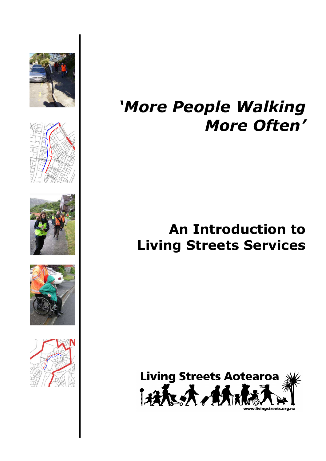









# *'More People Walking More Often'*

## **An Introduction to Living Streets Services**

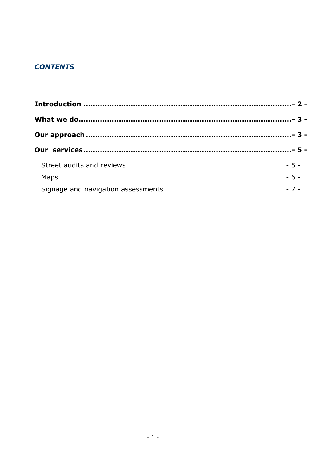## **CONTENTS**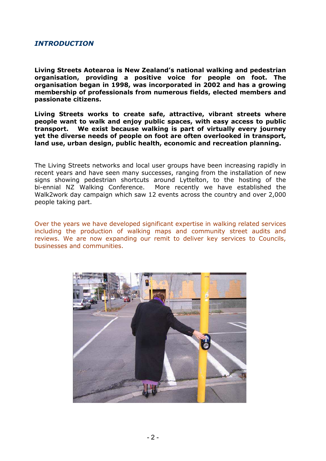## <span id="page-2-0"></span>*INTRODUCTION*

**Living Streets Aotearoa is New Zealand's national walking and pedestrian organisation, providing a positive voice for people on foot. The organisation began in 1998, was incorporated in 2002 and has a growing membership of professionals from numerous fields, elected members and passionate citizens.** 

**Living Streets works to create safe, attractive, vibrant streets where people want to walk and enjoy public spaces, with easy access to public transport. We exist because walking is part of virtually every journey yet the diverse needs of people on foot are often overlooked in transport, land use, urban design, public health, economic and recreation planning.** 

The Living Streets networks and local user groups have been increasing rapidly in recent years and have seen many successes, ranging from the installation of new signs showing pedestrian shortcuts around Lyttelton, to the hosting of the bi-ennial NZ Walking Conference. More recently we have established the Walk2work day campaign which saw 12 events across the country and over 2,000 people taking part.

Over the years we have developed significant expertise in walking related services including the production of walking maps and community street audits and reviews. We are now expanding our remit to deliver key services to Councils, businesses and communities.

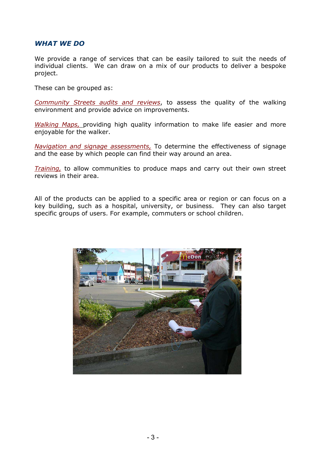## <span id="page-3-0"></span>*WHAT WE DO*

We provide a range of services that can be easily tailored to suit the needs of individual clients. We can draw on a mix of our products to deliver a bespoke project.

These can be grouped as:

*Community Streets audits and reviews*, to assess the quality of the walking environment and provide advice on improvements.

*Walking Maps,* providing high quality information to make life easier and more enjoyable for the walker.

*Navigation and signage assessments,* To determine the effectiveness of signage and the ease by which people can find their way around an area.

*Training,* to allow communities to produce maps and carry out their own street reviews in their area.

All of the products can be applied to a specific area or region or can focus on a key building, such as a hospital, university, or business. They can also target specific groups of users. For example, commuters or school children.

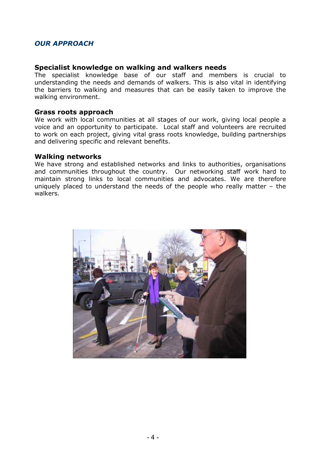## *OUR APPROACH*

#### **Specialist knowledge on walking and walkers needs**

The specialist knowledge base of our staff and members is crucial to understanding the needs and demands of walkers. This is also vital in identifying the barriers to walking and measures that can be easily taken to improve the walking environment.

#### **Grass roots approach**

We work with local communities at all stages of our work, giving local people a voice and an opportunity to participate. Local staff and volunteers are recruited to work on each project, giving vital grass roots knowledge, building partnerships and delivering specific and relevant benefits.

#### **Walking networks**

We have strong and established networks and links to authorities, organisations and communities throughout the country. Our networking staff work hard to maintain strong links to local communities and advocates. We are therefore uniquely placed to understand the needs of the people who really matter – the walkers.

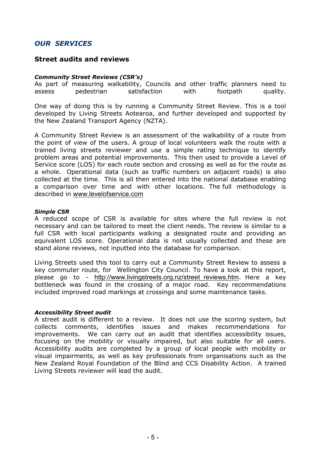## <span id="page-5-0"></span>*OUR SERVICES*

### **Street audits and reviews**

#### *Community Street Reviews (CSR's)*

As part of measuring walkability, Councils and other traffic planners need to assess pedestrian satisfaction with footpath quality.

One way of doing this is by running a Community Street Review. This is a tool developed by Living Streets Aotearoa, and further developed and supported by the New Zealand Transport Agency (NZTA).

A Community Street Review is an assessment of the walkability of a route from the point of view of the users. A group of local volunteers walk the route with a trained living streets reviewer and use a simple rating technique to identify problem areas and potential improvements. This then used to provide a Level of Service score (LOS) for each route section and crossing as well as for the route as a whole. Operational data (such as traffic numbers on adjacent roads) is also collected at the time. This is all then entered into the national database enabling a comparison over time and with other locations. The full methodology is described in [www.levelofservice.com](http://www.levelofservice.com/)

#### *Simple CSR*

A reduced scope of CSR is available for sites where the full review is not necessary and can be tailored to meet the client needs. The review is similar to a full CSR with local participants walking a designated route and providing an equivalent LOS score. Operational data is not usually collected and these are stand alone reviews, not inputted into the database for comparison.

Living Streets used this tool to carry out a Community Street Review to assess a key commuter route, for Wellington City Council. To have a look at this report, please go to - http://www.livingstreets.org.nz/street reviews.htm. Here a key bottleneck was found in the crossing of a major road. Key recommendations included improved road markings at crossings and some maintenance tasks.

#### *Accessibility Street audit*

A street audit is different to a review. It does not use the scoring system, but collects comments, identifies issues and makes recommendations for improvements. We can carry out an audit that identifies accessibility issues, focusing on the mobility or visually impaired, but also suitable for all users. Accessibility audits are completed by a group of local people with mobility or visual impairments, as well as key professionals from organisations such as the New Zealand Royal Foundation of the Blind and CCS Disability Action. A trained Living Streets reviewer will lead the audit.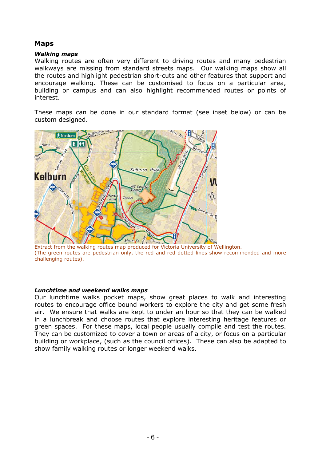## <span id="page-6-0"></span>**Maps**

#### *Walking maps*

Walking routes are often very different to driving routes and many pedestrian walkways are missing from standard streets maps. Our walking maps show all the routes and highlight pedestrian short-cuts and other features that support and encourage walking. These can be customised to focus on a particular area, building or campus and can also highlight recommended routes or points of interest.

These maps can be done in our standard format (see inset below) or can be custom designed.



Extract from the walking routes map produced for Victoria University of Wellington. (The green routes are pedestrian only, the red and red dotted lines show recommended and more challenging routes).

#### *Lunchtime and weekend walks maps*

Our lunchtime walks pocket maps, show great places to walk and interesting routes to encourage office bound workers to explore the city and get some fresh air. We ensure that walks are kept to under an hour so that they can be walked in a lunchbreak and choose routes that explore interesting heritage features or green spaces. For these maps, local people usually compile and test the routes. They can be customized to cover a town or areas of a city, or focus on a particular building or workplace, (such as the council offices). These can also be adapted to show family walking routes or longer weekend walks.